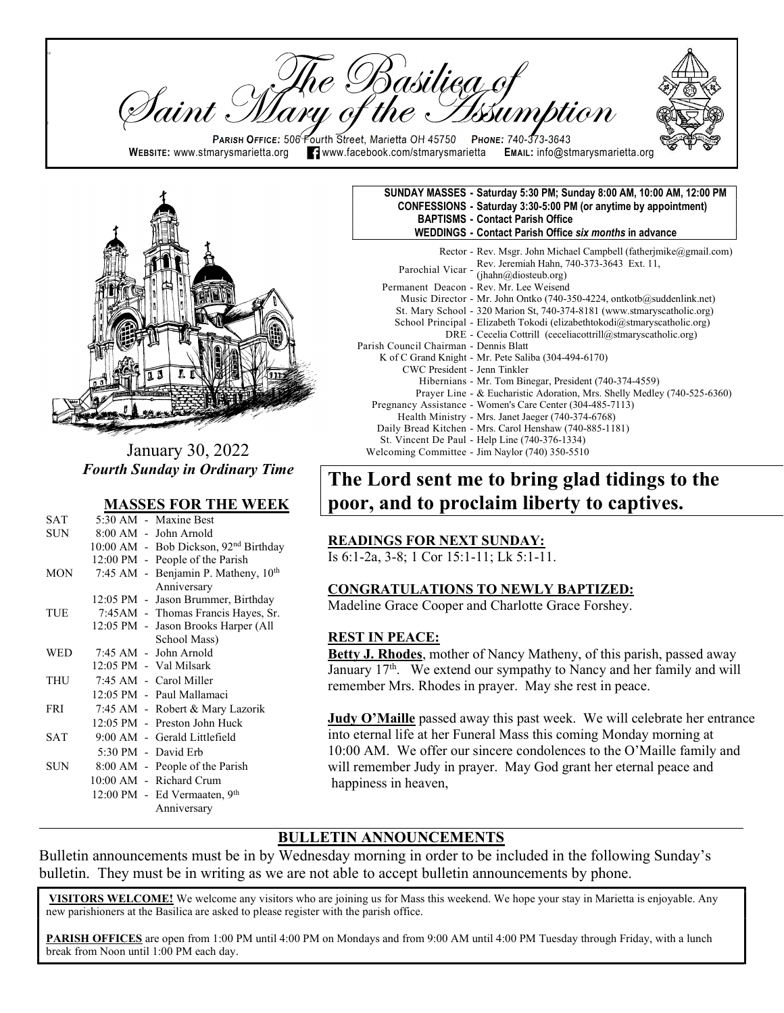re Basiliea of Iaint : PARISH OFFICE: 506 Fourth Street, Marietta OH 45750 PHONE: 740-373-3643 WEBSITE: www.stmarysmarietta.org **19. Webbook.com/stmarysmarietta EMAIL:** info@stmarysmarietta.org



 $\mathsf{p}$ 

ll

January 30, 2022 Fourth Sunday in Ordinary Time

#### MASSES FOR THE WEEK

| SAT        |  | 5:30 AM - Maxine Best                             |
|------------|--|---------------------------------------------------|
| SUN        |  | 8:00 AM - John Arnold                             |
|            |  | 10:00 AM - Bob Dickson, 92 <sup>nd</sup> Birthday |
|            |  | 12:00 PM - People of the Parish                   |
| <b>MON</b> |  | 7:45 AM - Benjamin P. Matheny, 10th               |
|            |  | Anniversary                                       |
|            |  | 12:05 PM - Jason Brummer, Birthday                |
| TUE        |  | 7:45AM - Thomas Francis Hayes, Sr.                |
|            |  | 12:05 PM - Jason Brooks Harper (All               |
|            |  | School Mass)                                      |
| <b>WED</b> |  | 7:45 AM - John Arnold                             |
|            |  | 12:05 PM - Val Milsark                            |
| THU        |  | 7:45 AM - Carol Miller                            |
|            |  | 12:05 PM - Paul Mallamaci                         |
| <b>FRI</b> |  | 7:45 AM - Robert & Mary Lazorik                   |
|            |  | 12:05 PM - Preston John Huck                      |
| <b>SAT</b> |  | 9:00 AM - Gerald Littlefield                      |
|            |  | 5:30 PM - David Erb                               |
| SUN.       |  | 8:00 AM - People of the Parish                    |
|            |  | 10:00 AM - Richard Crum                           |
|            |  | 12:00 PM - Ed Vermaaten, 9 <sup>th</sup>          |
|            |  | Anniversary                                       |

#### SUNDAY MASSES - Saturday 5:30 PM; Sunday 8:00 AM, 10:00 AM, 12:00 PM CONFESSIONS - Saturday 3:30-5:00 PM (or anytime by appointment) BAPTISMS - Contact Parish Office WEDDINGS - Contact Parish Office six months in advance

 Rector - Rev. Msgr. John Michael Campbell (fatherjmike@gmail.com) Parochial Vicar - Rev. Jeremiah Hahn, 740-373-3643 Ext. 11, (jhahn@diosteub.org) Permanent Deacon - Rev. Mr. Lee Weisend Music Director - Mr. John Ontko (740-350-4224, ontkotb@suddenlink.net) St. Mary School - 320 Marion St, 740-374-8181 (www.stmaryscatholic.org) School Principal - Elizabeth Tokodi (elizabethtokodi@stmaryscatholic.org) DRE - Cecelia Cottrill (ceceliacottrill@stmaryscatholic.org) Parish Council Chairman - Dennis Blatt K of C Grand Knight - Mr. Pete Saliba (304-494-6170) CWC President - Jenn Tinkler Hibernians - Mr. Tom Binegar, President (740-374-4559) Prayer Line - & Eucharistic Adoration, Mrs. Shelly Medley (740-525-6360) Pregnancy Assistance - Women's Care Center (304-485-7113) Health Ministry - Mrs. Janet Jaeger (740-374-6768) Daily Bread Kitchen - Mrs. Carol Henshaw (740-885-1181) St. Vincent De Paul - Help Line (740-376-1334) Welcoming Committee - Jim Naylor (740) 350-5510

# The Lord sent me to bring glad tidings to the poor, and to proclaim liberty to captives.

#### READINGS FOR NEXT SUNDAY:

Is 6:1-2a, 3-8; 1 Cor 15:1-11; Lk 5:1-11.

#### CONGRATULATIONS TO NEWLY BAPTIZED:

Madeline Grace Cooper and Charlotte Grace Forshey.

#### REST IN PEACE:

Betty J. Rhodes, mother of Nancy Matheny, of this parish, passed away January 17<sup>th</sup>. We extend our sympathy to Nancy and her family and will remember Mrs. Rhodes in prayer. May she rest in peace.

Judy O'Maille passed away this past week. We will celebrate her entrance into eternal life at her Funeral Mass this coming Monday morning at 10:00 AM. We offer our sincere condolences to the O'Maille family and will remember Judy in prayer. May God grant her eternal peace and happiness in heaven,

#### BULLETIN ANNOUNCEMENTS

Bulletin announcements must be in by Wednesday morning in order to be included in the following Sunday's bulletin. They must be in writing as we are not able to accept bulletin announcements by phone.

VISITORS WELCOME! We welcome any visitors who are joining us for Mass this weekend. We hope your stay in Marietta is enjoyable. Any new parishioners at the Basilica are asked to please register with the parish office.

PARISH OFFICES are open from 1:00 PM until 4:00 PM on Mondays and from 9:00 AM until 4:00 PM Tuesday through Friday, with a lunch break from Noon until 1:00 PM each day.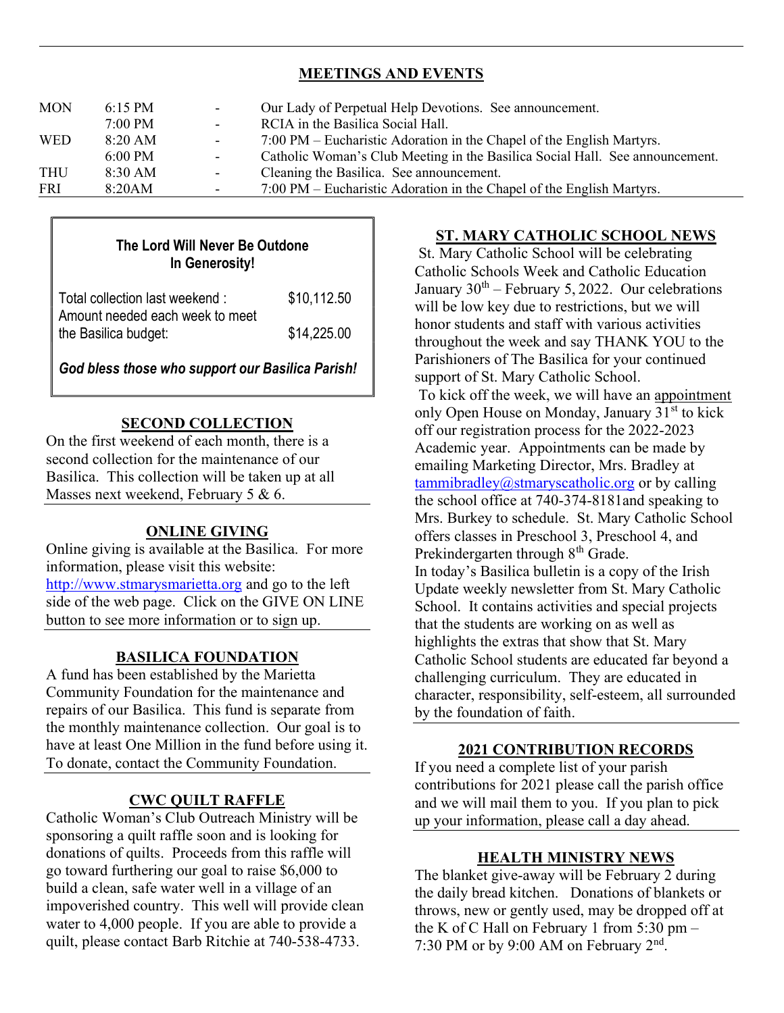## MEETINGS AND EVENTS

| <b>FRI</b> | 8:20AM            | $\overline{\phantom{a}}$ | 7:00 PM – Eucharistic Adoration in the Chapel of the English Martyrs.        |
|------------|-------------------|--------------------------|------------------------------------------------------------------------------|
| <b>THU</b> | $8:30 \text{ AM}$ | $\blacksquare$           | Cleaning the Basilica. See announcement.                                     |
|            | $6:00 \text{ PM}$ | $\overline{\phantom{a}}$ | Catholic Woman's Club Meeting in the Basilica Social Hall. See announcement. |
| <b>WED</b> | $8:20$ AM         | $\blacksquare$           | 7:00 PM – Eucharistic Adoration in the Chapel of the English Martyrs.        |
|            | $7:00$ PM         | $\sim$                   | RCIA in the Basilica Social Hall.                                            |
| <b>MON</b> | $6:15 \text{ PM}$ | $\overline{\phantom{a}}$ | Our Lady of Perpetual Help Devotions. See announcement.                      |
|            |                   |                          |                                                                              |

# The Lord Will Never Be Outdone In Generosity!

| Total collection last weekend:                          | \$10,112.50 |
|---------------------------------------------------------|-------------|
| Amount needed each week to meet<br>the Basilica budget: | \$14,225.00 |

God bless those who support our Basilica Parish!

# SECOND COLLECTION

On the first weekend of each month, there is a second collection for the maintenance of our Basilica. This collection will be taken up at all Masses next weekend, February 5 & 6.

### ONLINE GIVING

Online giving is available at the Basilica. For more information, please visit this website: http://www.stmarysmarietta.org and go to the left side of the web page. Click on the GIVE ON LINE button to see more information or to sign up.

#### BASILICA FOUNDATION

A fund has been established by the Marietta Community Foundation for the maintenance and repairs of our Basilica. This fund is separate from the monthly maintenance collection. Our goal is to have at least One Million in the fund before using it. To donate, contact the Community Foundation.

#### CWC QUILT RAFFLE

Catholic Woman's Club Outreach Ministry will be sponsoring a quilt raffle soon and is looking for donations of quilts. Proceeds from this raffle will go toward furthering our goal to raise \$6,000 to build a clean, safe water well in a village of an impoverished country. This well will provide clean water to 4,000 people. If you are able to provide a quilt, please contact Barb Ritchie at 740-538-4733.

### ST. MARY CATHOLIC SCHOOL NEWS

 St. Mary Catholic School will be celebrating Catholic Schools Week and Catholic Education January  $30^{th}$  – February 5, 2022. Our celebrations will be low key due to restrictions, but we will honor students and staff with various activities throughout the week and say THANK YOU to the Parishioners of The Basilica for your continued support of St. Mary Catholic School. To kick off the week, we will have an appointment only Open House on Monday, January 31<sup>st</sup> to kick off our registration process for the 2022-2023 Academic year. Appointments can be made by emailing Marketing Director, Mrs. Bradley at tammibradley@stmaryscatholic.org or by calling the school office at 740-374-8181and speaking to Mrs. Burkey to schedule. St. Mary Catholic School offers classes in Preschool 3, Preschool 4, and Prekindergarten through 8<sup>th</sup> Grade. In today's Basilica bulletin is a copy of the Irish Update weekly newsletter from St. Mary Catholic School. It contains activities and special projects that the students are working on as well as highlights the extras that show that St. Mary Catholic School students are educated far beyond a challenging curriculum. They are educated in character, responsibility, self-esteem, all surrounded by the foundation of faith.

#### 2021 CONTRIBUTION RECORDS

If you need a complete list of your parish contributions for 2021 please call the parish office and we will mail them to you. If you plan to pick up your information, please call a day ahead.

#### HEALTH MINISTRY NEWS

The blanket give-away will be February 2 during the daily bread kitchen. Donations of blankets or throws, new or gently used, may be dropped off at the K of C Hall on February 1 from  $5:30$  pm  $-$ 7:30 PM or by 9:00 AM on February 2<sup>nd</sup>.